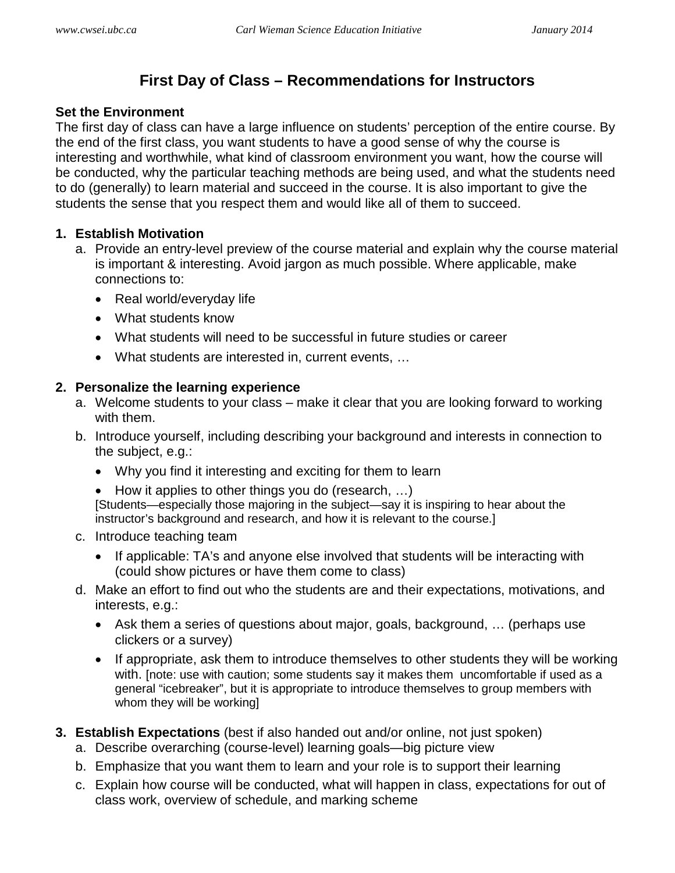# **First Day of Class – Recommendations for Instructors**

#### **Set the Environment**

The first day of class can have a large influence on students' perception of the entire course. By the end of the first class, you want students to have a good sense of why the course is interesting and worthwhile, what kind of classroom environment you want, how the course will be conducted, why the particular teaching methods are being used, and what the students need to do (generally) to learn material and succeed in the course. It is also important to give the students the sense that you respect them and would like all of them to succeed.

## **1. Establish Motivation**

- a. Provide an entry-level preview of the course material and explain why the course material is important & interesting. Avoid jargon as much possible. Where applicable, make connections to:
	- Real world/everyday life
	- What students know
	- What students will need to be successful in future studies or career
	- What students are interested in, current events, …

#### **2. Personalize the learning experience**

- a. Welcome students to your class make it clear that you are looking forward to working with them.
- b. Introduce yourself, including describing your background and interests in connection to the subject, e.g.:
	- Why you find it interesting and exciting for them to learn
	- How it applies to other things you do (research, …) [Students—especially those majoring in the subject—say it is inspiring to hear about the instructor's background and research, and how it is relevant to the course.]
- c. Introduce teaching team
	- If applicable: TA's and anyone else involved that students will be interacting with (could show pictures or have them come to class)
- d. Make an effort to find out who the students are and their expectations, motivations, and interests, e.g.:
	- Ask them a series of questions about major, goals, background, ... (perhaps use clickers or a survey)
	- If appropriate, ask them to introduce themselves to other students they will be working with. [note: use with caution; some students say it makes them uncomfortable if used as a general "icebreaker", but it is appropriate to introduce themselves to group members with whom they will be working]
- **3. Establish Expectations** (best if also handed out and/or online, not just spoken)
	- a. Describe overarching (course-level) learning goals—big picture view
	- b. Emphasize that you want them to learn and your role is to support their learning
	- c. Explain how course will be conducted, what will happen in class, expectations for out of class work, overview of schedule, and marking scheme